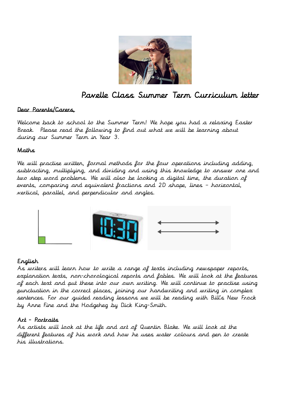

# Pavelle Class Summer Term Curriculum letter

# Dear Parents/Carers,

Welcome back to school to the Summer Term! We hope you had a relaxing Easter Break. Please read the following to find out what we will be learning about during our Summer Term in Year 3.

#### Maths

We will practise written, formal methods for the four operations including adding, subtracting, multiplying, and dividing and using this knowledge to answer one and two step word problems. We will also be looking a digital time, the duration of events, comparing and equivalent fractions and 2D shape, lines – horizontal, vertical, parallel, and perpendicular and angles.



# English

As writers will learn how to write a range of texts including newspaper reports, explanation texts, non-chorological reports and fables. We will look at the features of each text and put these into our own writing. We will continue to practise using punctuation in the correct places, joining our handwriting and writing in complex sentences. For our guided reading lessons we will be reading with Bill's New Frock by Anne Fine and the Hodgeheg by Dick King-Smith.

#### Art - Portraits

As artists will look at the life and art of Quentin Blake. We will look at the different features of his work and how he uses water colours and pen to create his illustrations.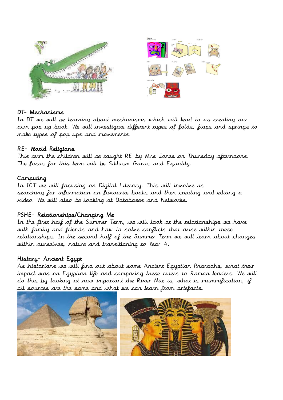

#### DT- Mechanisms

In DT we will be learning about mechanisms which will lead to us creating our own pop up book. We will investigate different types of folds, flaps and springs to make types of pop ups and movements.

#### RE- World Religions

This term the children will be taught RE by Mrs Jones on Thursday afternoons. The focus for this term will be Sikhism Gurus and Equality.

# Computing

In ICT we will focusing on Digital Literacy. This will involve us searching for information on favourite books and then creating and editing a video. We will also be looking at Databases and Networks.

# PSHE- Relationships/Changing Me

In the first half of the Summer Term, we will look at the relationships we have with family and friends and how to solve conflicts that arise within these relationships. In the second half of the Summer Term we will learn about changes within ourselves, nature and transitioning to Year 4.

#### History- Ancient Egypt

As historians we will find out about some Ancient Egyptian Pharaohs, what their impact was on Egyptian life and comparing these rulers to Roman leaders. We will do this by looking at how important the River Nile is, what is mummification, if all sources are the same and what we can learn from artefacts.